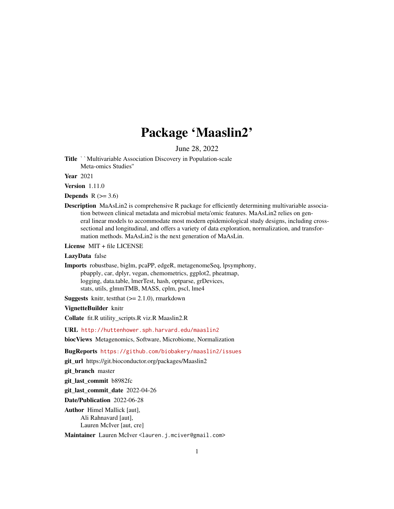## Package 'Maaslin2'

June 28, 2022

Title ``Multivariable Association Discovery in Population-scale Meta-omics Studies''

Year 2021

Version 1.11.0

**Depends**  $R$  ( $>= 3.6$ )

Description MaAsLin2 is comprehensive R package for efficiently determining multivariable association between clinical metadata and microbial meta'omic features. MaAsLin2 relies on general linear models to accommodate most modern epidemiological study designs, including crosssectional and longitudinal, and offers a variety of data exploration, normalization, and transformation methods. MaAsLin2 is the next generation of MaAsLin.

License MIT + file LICENSE

#### LazyData false

Imports robustbase, biglm, pcaPP, edgeR, metagenomeSeq, lpsymphony, pbapply, car, dplyr, vegan, chemometrics, ggplot2, pheatmap, logging, data.table, lmerTest, hash, optparse, grDevices, stats, utils, glmmTMB, MASS, cplm, pscl, lme4

**Suggests** knitr, test that  $(>= 2.1.0)$ , rmarkdown

#### VignetteBuilder knitr

Collate fit.R utility\_scripts.R viz.R Maaslin2.R

URL <http://huttenhower.sph.harvard.edu/maaslin2>

biocViews Metagenomics, Software, Microbiome, Normalization

BugReports <https://github.com/biobakery/maaslin2/issues>

git\_url https://git.bioconductor.org/packages/Maaslin2

git\_branch master

git\_last\_commit b8982fc

git last commit date 2022-04-26

Date/Publication 2022-06-28

Author Himel Mallick [aut], Ali Rahnavard [aut], Lauren McIver [aut, cre]

Maintainer Lauren McIver <lauren.j.mciver@gmail.com>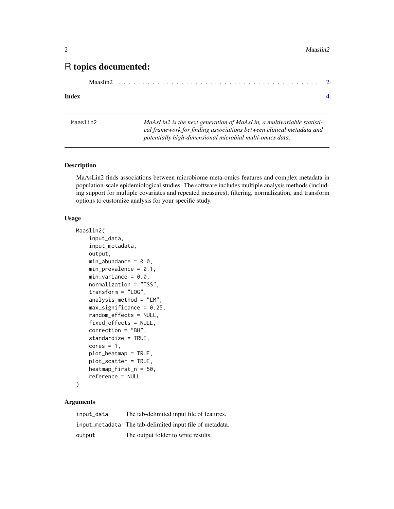### <span id="page-1-0"></span>R topics documented:

| Maaslin2 |
|----------|
|----------|

#### **Index** [4](#page-3-0)

| Maaslin2 | MaAsLin2 is the next generation of MaAsLin, a multivariable statisti- |
|----------|-----------------------------------------------------------------------|
|          | cal framework for finding associations between clinical metadata and  |
|          | potentially high-dimensional microbial multi-omics data.              |

#### Description

MaAsLin2 finds associations between microbiome meta-omics features and complex metadata in population-scale epidemiological studies. The software includes multiple analysis methods (including support for multiple covariates and repeated measures), filtering, normalization, and transform options to customize analysis for your specific study.

#### Usage

```
Maaslin2(
    input_data,
    input_metadata,
    output,
    min\_abundance = 0.0,
    min\_prevalence = 0.1,
    min\_variance = 0.0,
    normalization = "TSS",
    transform = "LOG",
    analysis_method = "LM",
    max_significance = 0.25,
    random_effects = NULL,
    fixed_effects = NULL,
    correction = "BH",
    standardize = TRUE,
    cores = 1,plot_heatmap = TRUE,
    plot_scatter = TRUE,
    heatmap_first_n = 50,
    reference = NULL
)
```
#### Arguments

| input_data | The tab-delimited input file of features.                |
|------------|----------------------------------------------------------|
|            | input_metadata The tab-delimited input file of metadata. |
| output     | The output folder to write results.                      |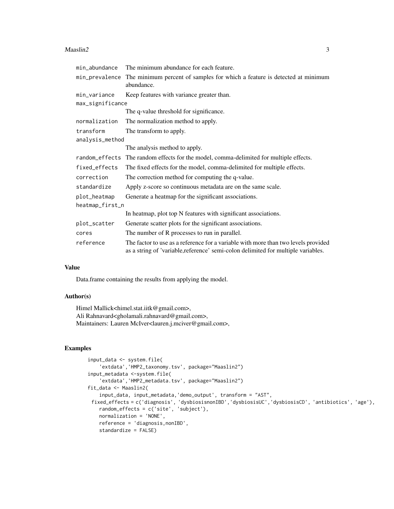#### $Maaslin2$  3

| min_abundance    | The minimum abundance for each feature.                                                                                                                                 |
|------------------|-------------------------------------------------------------------------------------------------------------------------------------------------------------------------|
| min_prevalence   | The minimum percent of samples for which a feature is detected at minimum<br>abundance.                                                                                 |
| min variance     | Keep features with variance greater than.                                                                                                                               |
| max_significance |                                                                                                                                                                         |
|                  | The q-value threshold for significance.                                                                                                                                 |
| normalization    | The normalization method to apply.                                                                                                                                      |
| transform        | The transform to apply.                                                                                                                                                 |
| analysis_method  |                                                                                                                                                                         |
|                  | The analysis method to apply.                                                                                                                                           |
| random effects   | The random effects for the model, comma-delimited for multiple effects.                                                                                                 |
| fixed_effects    | The fixed effects for the model, comma-delimited for multiple effects.                                                                                                  |
| correction       | The correction method for computing the q-value.                                                                                                                        |
| standardize      | Apply z-score so continuous metadata are on the same scale.                                                                                                             |
| plot_heatmap     | Generate a heatmap for the significant associations.                                                                                                                    |
| heatmap_first_n  |                                                                                                                                                                         |
|                  | In heatmap, plot top N features with significant associations.                                                                                                          |
| plot_scatter     | Generate scatter plots for the significant associations.                                                                                                                |
| cores            | The number of R processes to run in parallel.                                                                                                                           |
| reference        | The factor to use as a reference for a variable with more than two levels provided<br>as a string of 'variable, reference' semi-colon delimited for multiple variables. |

#### Value

Data.frame containing the results from applying the model.

#### Author(s)

Himel Mallick<himel.stat.iitk@gmail.com>, Ali Rahnavard<gholamali.rahnavard@gmail.com>, Maintainers: Lauren McIver<lauren.j.mciver@gmail.com>,

#### Examples

```
input_data <- system.file(
   'extdata','HMP2_taxonomy.tsv', package="Maaslin2")
input_metadata <-system.file(
    'extdata','HMP2_metadata.tsv', package="Maaslin2")
fit_data <- Maaslin2(
   input_data, input_metadata,'demo_output', transform = "AST",
 fixed_effects = c('diagnosis', 'dysbiosisnonIBD','dysbiosisUC','dysbiosisCD', 'antibiotics', 'age'),
   random_effects = c('site', 'subject'),
   normalization = 'NONE',
   reference = 'diagnosis,nonIBD',
   standardize = FALSE)
```